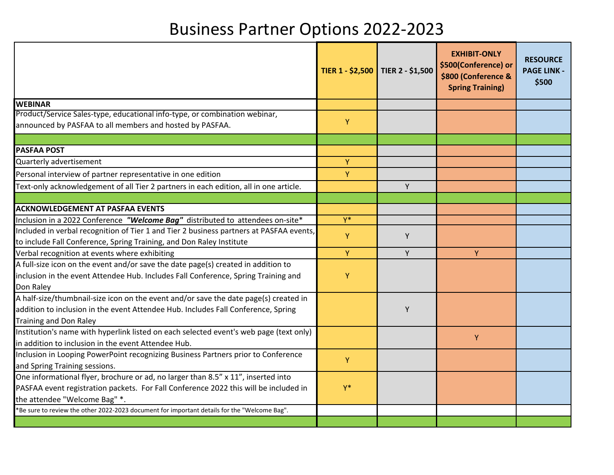## Business Partner Options 2022‐2023

|                                                                                                                                        | TIER 1 - \$2,500 TIER 2 - \$1,500 |   | <b>EXHIBIT-ONLY</b><br>\$500(Conference) or<br>\$800 (Conference &<br><b>Spring Training)</b> | <b>RESOURCE</b><br><b>PAGE LINK -</b><br>\$500 |
|----------------------------------------------------------------------------------------------------------------------------------------|-----------------------------------|---|-----------------------------------------------------------------------------------------------|------------------------------------------------|
| <b>WEBINAR</b>                                                                                                                         |                                   |   |                                                                                               |                                                |
| Product/Service Sales-type, educational info-type, or combination webinar,<br>announced by PASFAA to all members and hosted by PASFAA. | Y                                 |   |                                                                                               |                                                |
| <b>PASFAA POST</b>                                                                                                                     |                                   |   |                                                                                               |                                                |
| Quarterly advertisement                                                                                                                | Y                                 |   |                                                                                               |                                                |
| Personal interview of partner representative in one edition                                                                            | Y                                 |   |                                                                                               |                                                |
| Text-only acknowledgement of all Tier 2 partners in each edition, all in one article.                                                  |                                   | Υ |                                                                                               |                                                |
|                                                                                                                                        |                                   |   |                                                                                               |                                                |
| <b>ACKNOWLEDGEMENT AT PASFAA EVENTS</b>                                                                                                |                                   |   |                                                                                               |                                                |
| Inclusion in a 2022 Conference "Welcome Bag" distributed to attendees on-site*                                                         | $Y^*$                             |   |                                                                                               |                                                |
| Included in verbal recognition of Tier 1 and Tier 2 business partners at PASFAA events,                                                | Y                                 | Y |                                                                                               |                                                |
| to include Fall Conference, Spring Training, and Don Raley Institute                                                                   |                                   |   |                                                                                               |                                                |
| Verbal recognition at events where exhibiting                                                                                          | Y                                 | Y | Y                                                                                             |                                                |
| A full-size icon on the event and/or save the date page(s) created in addition to                                                      |                                   |   |                                                                                               |                                                |
| inclusion in the event Attendee Hub. Includes Fall Conference, Spring Training and<br>Don Raley                                        | Υ                                 |   |                                                                                               |                                                |
| A half-size/thumbnail-size icon on the event and/or save the date page(s) created in                                                   |                                   |   |                                                                                               |                                                |
| addition to inclusion in the event Attendee Hub. Includes Fall Conference, Spring<br><b>Training and Don Raley</b>                     |                                   | Y |                                                                                               |                                                |
| Institution's name with hyperlink listed on each selected event's web page (text only)                                                 |                                   |   |                                                                                               |                                                |
| in addition to inclusion in the event Attendee Hub.                                                                                    |                                   |   | Y                                                                                             |                                                |
| Inclusion in Looping PowerPoint recognizing Business Partners prior to Conference                                                      | Y                                 |   |                                                                                               |                                                |
| and Spring Training sessions.                                                                                                          |                                   |   |                                                                                               |                                                |
| One informational flyer, brochure or ad, no larger than 8.5" x 11", inserted into                                                      |                                   |   |                                                                                               |                                                |
| PASFAA event registration packets. For Fall Conference 2022 this will be included in                                                   | $Y^*$                             |   |                                                                                               |                                                |
| the attendee "Welcome Bag" *.                                                                                                          |                                   |   |                                                                                               |                                                |
| *Be sure to review the other 2022-2023 document for important details for the "Welcome Bag".                                           |                                   |   |                                                                                               |                                                |
|                                                                                                                                        |                                   |   |                                                                                               |                                                |